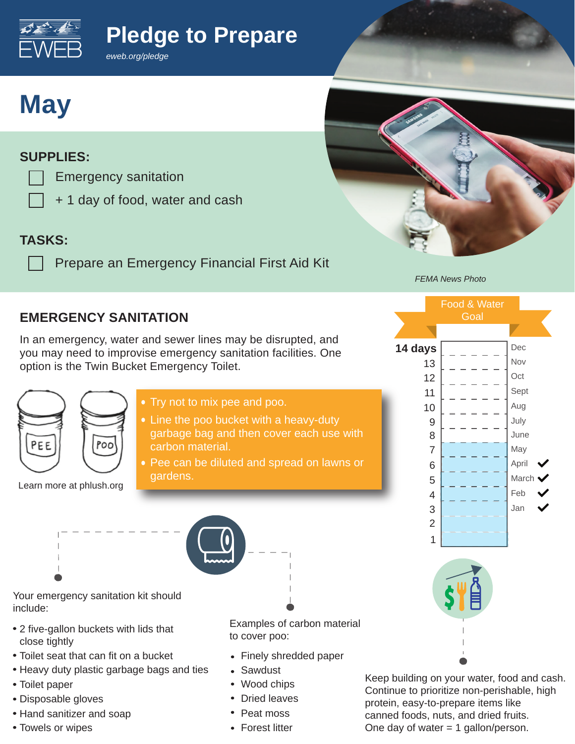**Pledge to Prepare**



*eweb.org/pledge*

# **May**

#### **SUPPLIES:**

- Emergency sanitation
	- + 1 day of food, water and cash

### **TASKS:**

Prepare an Emergency Financial First Aid Kit

*FEMA News Photo*

Food & Water **Goal** 

**14 days**

### **EMERGENCY SANITATION**

In an emergency, water and sewer lines may be disrupted, and you may need to improvise emergency sanitation facilities. One option is the Twin Bucket Emergency Toilet.



Learn more at phlush.org



- Line the poo bucket with a heavy-duty garbage bag and then cover each use with carbon material.
- Pee can be diluted and spread on lawns or gardens.



Your emergency sanitation kit should include:

- 2 five-gallon buckets with lids that close tightly
- Toilet seat that can fit on a bucket
- Heavy duty plastic garbage bags and ties
- Toilet paper
- Disposable gloves
- Hand sanitizer and soap
- Towels or wipes

Examples of carbon material to cover poo:

- Finely shredded paper
- Sawdust
- Wood chips
- Dried leaves
- Peat moss
- Forest litter



Jan Feb March April May June July Aug Sept **Oct** Nov Dec

Keep building on your water, food and cash. Continue to prioritize non-perishable, high protein, easy-to-prepare items like canned foods, nuts, and dried fruits. One day of water  $= 1$  gallon/person.